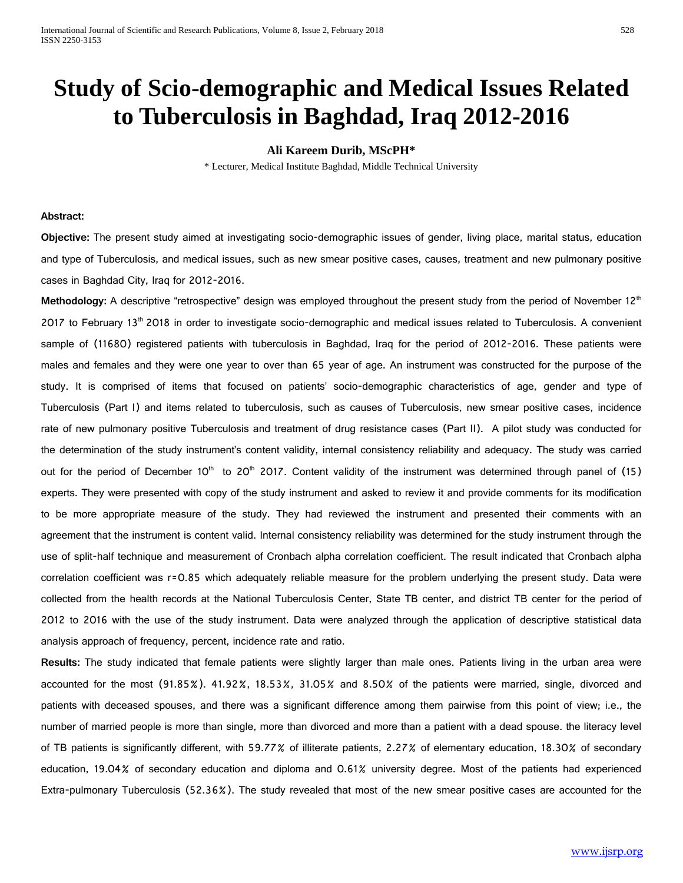# **Study of Scio-demographic and Medical Issues Related to Tuberculosis in Baghdad, Iraq 2012-2016**

# **Ali Kareem Durib, MScPH\***

\* Lecturer, Medical Institute Baghdad, Middle Technical University

## **Abstract:**

**Objective:** The present study aimed at investigating socio-demographic issues of gender, living place, marital status, education and type of Tuberculosis, and medical issues, such as new smear positive cases, causes, treatment and new pulmonary positive cases in Baghdad City, Iraq for 2012-2016.

Methodology: A descriptive "retrospective" design was employed throughout the present study from the period of November 12<sup>th</sup>  $2017$  to February 13<sup>th</sup> 2018 in order to investigate socio-demographic and medical issues related to Tuberculosis. A convenient sample of (11680) registered patients with tuberculosis in Baghdad, Iraq for the period of 2012-2016. These patients were males and females and they were one year to over than 65 year of age. An instrument was constructed for the purpose of the study. It is comprised of items that focused on patients' socio-demographic characteristics of age, gender and type of Tuberculosis (Part I) and items related to tuberculosis, such as causes of Tuberculosis, new smear positive cases, incidence rate of new pulmonary positive Tuberculosis and treatment of drug resistance cases (Part II). A pilot study was conducted for the determination of the study instrument's content validity, internal consistency reliability and adequacy. The study was carried out for the period of December  $10^{th}$  to 20<sup>th</sup> 2017. Content validity of the instrument was determined through panel of (15) experts. They were presented with copy of the study instrument and asked to review it and provide comments for its modification to be more appropriate measure of the study. They had reviewed the instrument and presented their comments with an agreement that the instrument is content valid. Internal consistency reliability was determined for the study instrument through the use of split-half technique and measurement of Cronbach alpha correlation coefficient. The result indicated that Cronbach alpha correlation coefficient was r=0.85 which adequately reliable measure for the problem underlying the present study. Data were collected from the health records at the National Tuberculosis Center, State TB center, and district TB center for the period of 2012 to 2016 with the use of the study instrument. Data were analyzed through the application of descriptive statistical data analysis approach of frequency, percent, incidence rate and ratio.

**Results:** The study indicated that female patients were slightly larger than male ones. Patients living in the urban area were accounted for the most (91.85%). 41.92%, 18.53%, 31.05% and 8.50% of the patients were married, single, divorced and patients with deceased spouses, and there was a significant difference among them pairwise from this point of view; i.e., the number of married people is more than single, more than divorced and more than a patient with a dead spouse. the literacy level of TB patients is significantly different, with 59.77% of illiterate patients, 2.27% of elementary education, 18.30% of secondary education, 19.04% of secondary education and diploma and 0.61% university degree. Most of the patients had experienced Extra-pulmonary Tuberculosis (52.36%). The study revealed that most of the new smear positive cases are accounted for the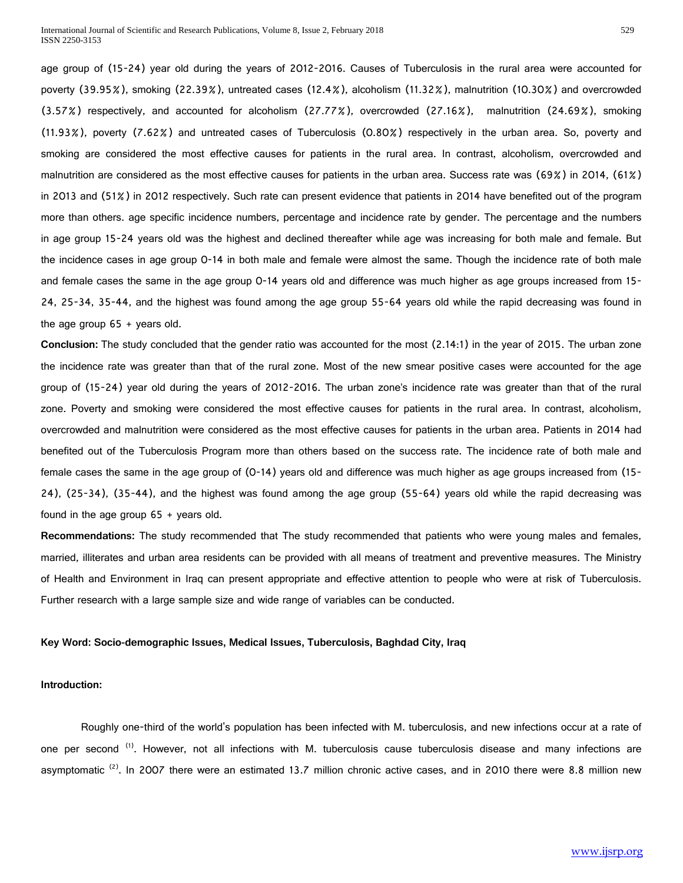age group of (15-24) year old during the years of 2012-2016. Causes of Tuberculosis in the rural area were accounted for poverty (39.95%), smoking (22.39%), untreated cases (12.4%), alcoholism (11.32%), malnutrition (10.30%) and overcrowded (3.57%) respectively, and accounted for alcoholism (27.77%), overcrowded (27.16%), malnutrition (24.69%), smoking (11.93%), poverty (7.62%) and untreated cases of Tuberculosis (0.80%) respectively in the urban area. So, poverty and smoking are considered the most effective causes for patients in the rural area. In contrast, alcoholism, overcrowded and malnutrition are considered as the most effective causes for patients in the urban area. Success rate was (69%) in 2014, (61%) in 2013 and (51%) in 2012 respectively. Such rate can present evidence that patients in 2014 have benefited out of the program more than others. age specific incidence numbers, percentage and incidence rate by gender. The percentage and the numbers in age group 15-24 years old was the highest and declined thereafter while age was increasing for both male and female. But the incidence cases in age group 0-14 in both male and female were almost the same. Though the incidence rate of both male and female cases the same in the age group 0-14 years old and difference was much higher as age groups increased from 15- 24, 25-34, 35-44, and the highest was found among the age group 55-64 years old while the rapid decreasing was found in the age group  $65 +$  years old.

**Conclusion:** The study concluded that the gender ratio was accounted for the most (2.14:1) in the year of 2015. The urban zone the incidence rate was greater than that of the rural zone. Most of the new smear positive cases were accounted for the age group of (15-24) year old during the years of 2012-2016. The urban zone's incidence rate was greater than that of the rural zone. Poverty and smoking were considered the most effective causes for patients in the rural area. In contrast, alcoholism, overcrowded and malnutrition were considered as the most effective causes for patients in the urban area. Patients in 2014 had benefited out of the Tuberculosis Program more than others based on the success rate. The incidence rate of both male and female cases the same in the age group of (0-14) years old and difference was much higher as age groups increased from (15- 24), (25-34), (35-44), and the highest was found among the age group (55-64) years old while the rapid decreasing was found in the age group  $65 +$  years old.

**Recommendations:** The study recommended that The study recommended that patients who were young males and females, married, illiterates and urban area residents can be provided with all means of treatment and preventive measures. The Ministry of Health and Environment in Iraq can present appropriate and effective attention to people who were at risk of Tuberculosis. Further research with a large sample size and wide range of variables can be conducted.

## **Key Word: Socio-demographic Issues, Medical Issues, Tuberculosis, Baghdad City, Iraq**

#### **Introduction:**

Roughly one-third of the world's population has been infected with M. tuberculosis, and new infections occur at a rate of one per second <sup>(1)</sup>. However, not all infections with M. tuberculosis cause tuberculosis disease and many infections are asymptomatic  $^{(2)}$ . In 2007 there were an estimated 13.7 million chronic active cases, and in 2010 there were 8.8 million new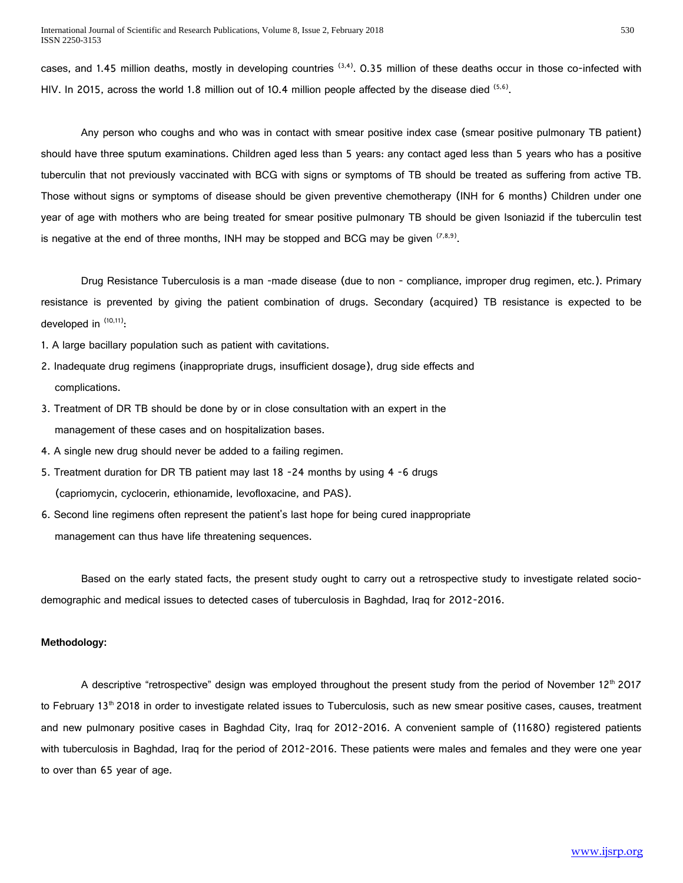cases, and 1.45 million deaths, mostly in developing countries  $^{(3,4)}$ . 0.35 million of these deaths occur in those co-infected with HIV. In 2015, across the world 1.8 million out of 10.4 million people affected by the disease died  $(5.6)$ .

Any person who coughs and who was in contact with smear positive index case (smear positive pulmonary TB patient) should have three sputum examinations. Children aged less than 5 years: any contact aged less than 5 years who has a positive tuberculin that not previously vaccinated with BCG with signs or symptoms of TB should be treated as suffering from active TB. Those without signs or symptoms of disease should be given preventive chemotherapy (INH for 6 months) Children under one year of age with mothers who are being treated for smear positive pulmonary TB should be given Isoniazid if the tuberculin test is negative at the end of three months, INH may be stopped and BCG may be given  $(7,8,9)$ .

Drug Resistance Tuberculosis is a man -made disease (due to non - compliance, improper drug regimen, etc.). Primary resistance is prevented by giving the patient combination of drugs. Secondary (acquired) TB resistance is expected to be developed in  $(10,11)$ :

- 1. A large bacillary population such as patient with cavitations.
- 2. Inadequate drug regimens (inappropriate drugs, insufficient dosage), drug side effects and complications.
- 3. Treatment of DR TB should be done by or in close consultation with an expert in the management of these cases and on hospitalization bases.
- 4. A single new drug should never be added to a failing regimen.
- 5. Treatment duration for DR TB patient may last 18 -24 months by using 4 -6 drugs (capriomycin, cyclocerin, ethionamide, levofloxacine, and PAS).
- 6. Second line regimens often represent the patient's last hope for being cured inappropriate management can thus have life threatening sequences.

Based on the early stated facts, the present study ought to carry out a retrospective study to investigate related sociodemographic and medical issues to detected cases of tuberculosis in Baghdad, Iraq for 2012-2016.

# **Methodology:**

A descriptive "retrospective" design was employed throughout the present study from the period of November 12<sup>th</sup> 2017 to February 13<sup>th</sup> 2018 in order to investigate related issues to Tuberculosis, such as new smear positive cases, causes, treatment and new pulmonary positive cases in Baghdad City, Iraq for 2012-2016. A convenient sample of (11680) registered patients with tuberculosis in Baghdad, Iraq for the period of 2012-2016. These patients were males and females and they were one year to over than 65 year of age.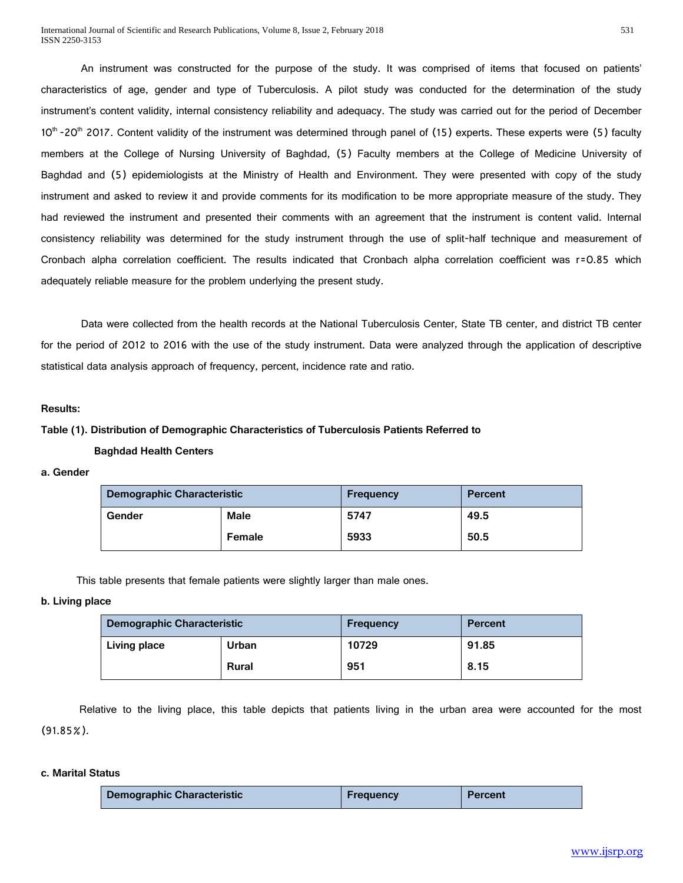An instrument was constructed for the purpose of the study. It was comprised of items that focused on patients' characteristics of age, gender and type of Tuberculosis. A pilot study was conducted for the determination of the study instrument's content validity, internal consistency reliability and adequacy. The study was carried out for the period of December  $10<sup>th</sup>$  -20<sup>th</sup> 2017. Content validity of the instrument was determined through panel of (15) experts. These experts were (5) faculty members at the College of Nursing University of Baghdad, (5) Faculty members at the College of Medicine University of Baghdad and (5) epidemiologists at the Ministry of Health and Environment. They were presented with copy of the study instrument and asked to review it and provide comments for its modification to be more appropriate measure of the study. They had reviewed the instrument and presented their comments with an agreement that the instrument is content valid. Internal consistency reliability was determined for the study instrument through the use of split-half technique and measurement of Cronbach alpha correlation coefficient. The results indicated that Cronbach alpha correlation coefficient was r=0.85 which adequately reliable measure for the problem underlying the present study.

Data were collected from the health records at the National Tuberculosis Center, State TB center, and district TB center for the period of 2012 to 2016 with the use of the study instrument. Data were analyzed through the application of descriptive statistical data analysis approach of frequency, percent, incidence rate and ratio.

## **Results:**

# **Table (1). Distribution of Demographic Characteristics of Tuberculosis Patients Referred to**

#### **Baghdad Health Centers**

**a. Gender**

| <b>Demographic Characteristic</b> |  | Frequency | Percent |  |
|-----------------------------------|--|-----------|---------|--|
| <b>Male</b><br>Gender             |  | 5747      | 49.5    |  |
| Female                            |  | 5933      | 50.5    |  |

This table presents that female patients were slightly larger than male ones.

#### **b. Living place**

| Demographic Characteristic |  | <b>Frequency</b> | Percent |  |
|----------------------------|--|------------------|---------|--|
| Living place<br>Urban      |  | 10729            | 91.85   |  |
| Rural                      |  | 951              | 8.15    |  |

Relative to the living place, this table depicts that patients living in the urban area were accounted for the most (91.85%).

#### **c. Marital Status**

| <b>Demographic Characteristic</b> | <b>Frequency</b> | <b>Percent</b> |
|-----------------------------------|------------------|----------------|
|-----------------------------------|------------------|----------------|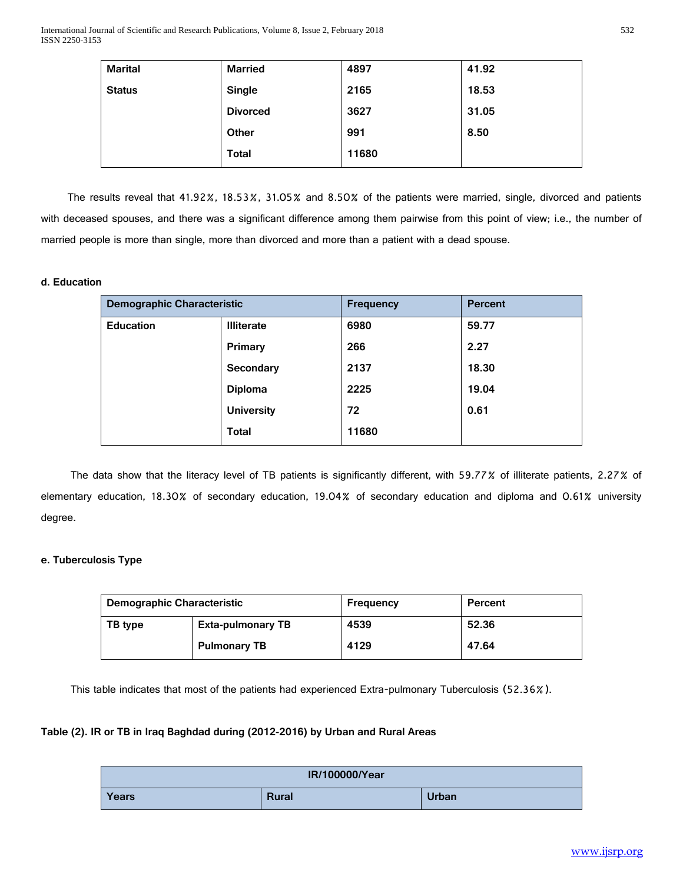| <b>Marital</b> | <b>Married</b>  | 4897  | 41.92 |
|----------------|-----------------|-------|-------|
| <b>Status</b>  | Single          | 2165  | 18.53 |
|                | <b>Divorced</b> | 3627  | 31.05 |
|                | Other           | 991   | 8.50  |
|                | Total           | 11680 |       |

The results reveal that 41.92%, 18.53%, 31.05% and 8.50% of the patients were married, single, divorced and patients with deceased spouses, and there was a significant difference among them pairwise from this point of view; i.e., the number of married people is more than single, more than divorced and more than a patient with a dead spouse.

# **d. Education**

| <b>Demographic Characteristic</b> |                           | <b>Frequency</b> | <b>Percent</b> |  |
|-----------------------------------|---------------------------|------------------|----------------|--|
| <b>Education</b>                  | 6980<br><b>Illiterate</b> |                  | 59.77          |  |
|                                   | Primary                   | 266              | 2.27           |  |
| Secondary                         |                           | 2137             | 18.30          |  |
|                                   | Diploma                   | 2225             | 19.04          |  |
|                                   | <b>University</b>         | 72               | 0.61           |  |
|                                   | <b>Total</b>              | 11680            |                |  |

The data show that the literacy level of TB patients is significantly different, with 59.77% of illiterate patients, 2.27% of elementary education, 18.30% of secondary education, 19.04% of secondary education and diploma and 0.61% university degree.

# **e. Tuberculosis Type**

| <b>Demographic Characteristic</b>   |                     | Frequency | Percent |
|-------------------------------------|---------------------|-----------|---------|
| <b>Exta-pulmonary TB</b><br>TB type |                     | 4539      | 52.36   |
|                                     | <b>Pulmonary TB</b> | 4129      | 47.64   |

This table indicates that most of the patients had experienced Extra-pulmonary Tuberculosis (52.36%).

# **Table (2). IR or TB in Iraq Baghdad during (2012-2016) by Urban and Rural Areas**

| IR/100000/Year |              |       |  |  |  |
|----------------|--------------|-------|--|--|--|
| Years          | <b>Rural</b> | Urban |  |  |  |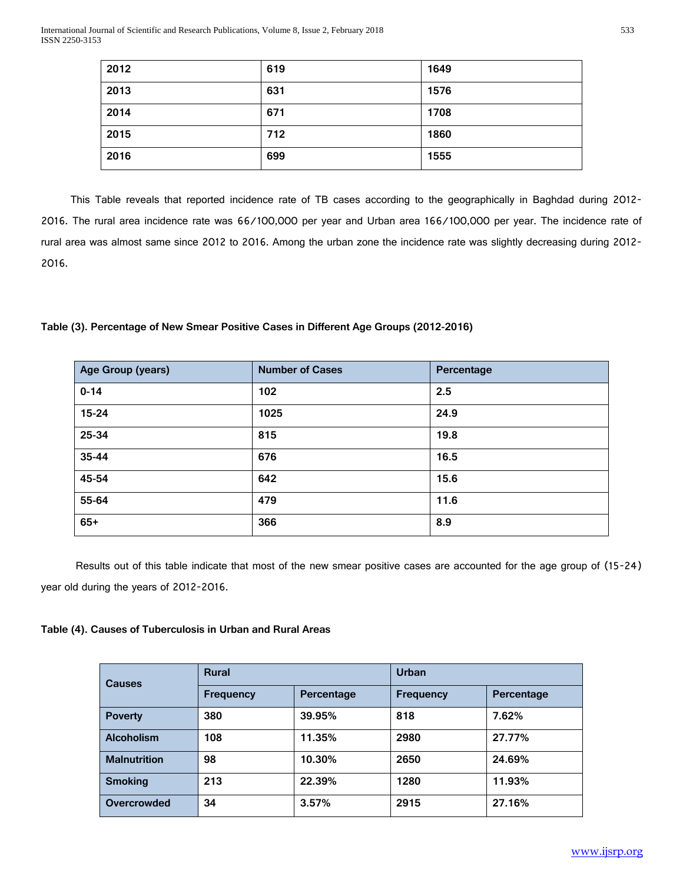| 2012 | 619 | 1649 |
|------|-----|------|
| 2013 | 631 | 1576 |
| 2014 | 671 | 1708 |
| 2015 | 712 | 1860 |
| 2016 | 699 | 1555 |

This Table reveals that reported incidence rate of TB cases according to the geographically in Baghdad during 2012- 2016. The rural area incidence rate was 66/100,000 per year and Urban area 166/100,000 per year. The incidence rate of rural area was almost same since 2012 to 2016. Among the urban zone the incidence rate was slightly decreasing during 2012- 2016.

# **Table (3). Percentage of New Smear Positive Cases in Different Age Groups (2012-2016)**

| Age Group (years) | <b>Number of Cases</b> | Percentage |
|-------------------|------------------------|------------|
| $0 - 14$          | 102                    | 2.5        |
| $15 - 24$         | 1025                   | 24.9       |
| 25-34             | 815                    | 19.8       |
| 35-44             | 676                    | 16.5       |
| 45-54             | 642                    | 15.6       |
| 55-64             | 479                    | 11.6       |
| $65+$             | 366                    | 8.9        |

 Results out of this table indicate that most of the new smear positive cases are accounted for the age group of (15-24) year old during the years of 2012-2016.

# **Table (4). Causes of Tuberculosis in Urban and Rural Areas**

| <b>Causes</b>       | <b>Rural</b>     |            | <b>Urban</b>     |            |  |
|---------------------|------------------|------------|------------------|------------|--|
|                     | <b>Frequency</b> | Percentage | <b>Frequency</b> | Percentage |  |
| <b>Poverty</b>      | 380              | 39.95%     | 818              | 7.62%      |  |
| <b>Alcoholism</b>   | 108              | 11.35%     | 2980             | 27.77%     |  |
| <b>Malnutrition</b> | 98               | 10.30%     | 2650             | 24.69%     |  |
| <b>Smoking</b>      | 213              | 22.39%     | 1280             | 11.93%     |  |
| Overcrowded         | 34               | 3.57%      | 2915             | 27.16%     |  |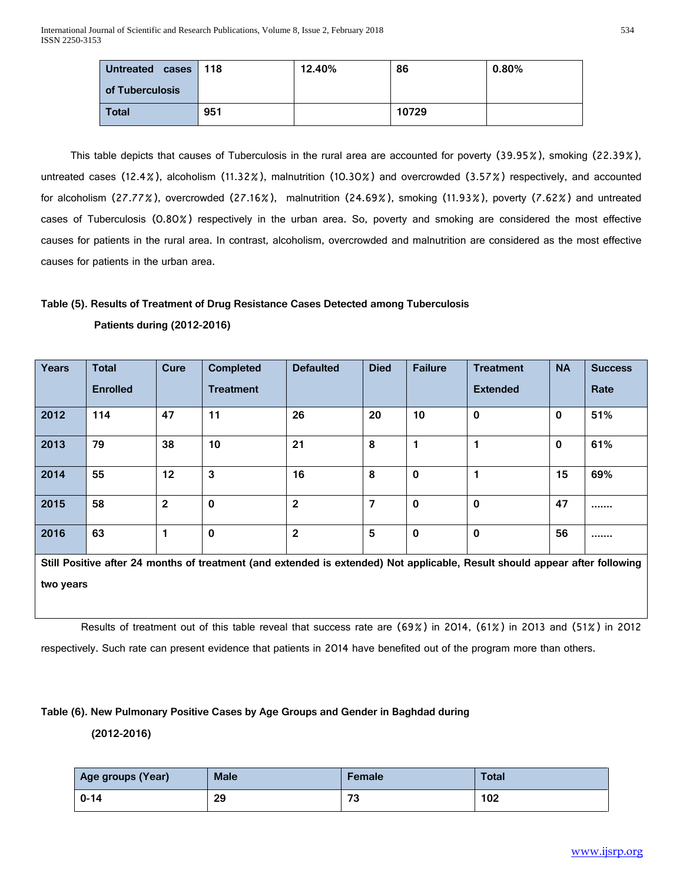| <b>Untreated</b><br>cases 118 |     | 12.40% | 86    | $0.80\%$ |
|-------------------------------|-----|--------|-------|----------|
| of Tuberculosis               |     |        |       |          |
| <b>Total</b>                  | 951 |        | 10729 |          |

This table depicts that causes of Tuberculosis in the rural area are accounted for poverty (39.95%), smoking (22.39%), untreated cases (12.4%), alcoholism (11.32%), malnutrition (10.30%) and overcrowded (3.57%) respectively, and accounted for alcoholism (27.77%), overcrowded (27.16%), malnutrition (24.69%), smoking (11.93%), poverty (7.62%) and untreated cases of Tuberculosis (0.80%) respectively in the urban area. So, poverty and smoking are considered the most effective causes for patients in the rural area. In contrast, alcoholism, overcrowded and malnutrition are considered as the most effective causes for patients in the urban area.

# **Table (5). Results of Treatment of Drug Resistance Cases Detected among Tuberculosis Patients during (2012-2016)**

| Years | <b>Total</b>    | Cure         | Completed        | <b>Defaulted</b> | <b>Died</b> | <b>Failure</b> | <b>Treatment</b> | <b>NA</b>   | <b>Success</b> |
|-------|-----------------|--------------|------------------|------------------|-------------|----------------|------------------|-------------|----------------|
|       | <b>Enrolled</b> |              | <b>Treatment</b> |                  |             |                | <b>Extended</b>  |             | Rate           |
| 2012  | 114             | 47           | 11               | 26               | 20          | 10             | $\mathbf 0$      | $\mathbf 0$ | 51%            |
| 2013  | 79              | 38           | 10               | 21               | 8           |                |                  | $\mathbf 0$ | 61%            |
| 2014  | 55              | 12           | 3                | 16               | 8           | $\mathbf 0$    |                  | 15          | 69%            |
| 2015  | 58              | $\mathbf{2}$ | $\mathbf 0$      | $\mathbf{2}$     | 7           | $\mathbf 0$    | $\mathbf 0$      | 47          |                |
| 2016  | 63              |              | 0                | $\mathbf{2}$     | 5           | 0              | $\mathbf 0$      | 56          |                |

**Still Positive after 24 months of treatment (and extended is extended) Not applicable, Result should appear after following two years**

Results of treatment out of this table reveal that success rate are (69%) in 2014, (61%) in 2013 and (51%) in 2012

respectively. Such rate can present evidence that patients in 2014 have benefited out of the program more than others.

# **Table (6). New Pulmonary Positive Cases by Age Groups and Gender in Baghdad during**

 **(2012-2016)** 

| Age groups (Year) | <b>Male</b> | Female | <b>Total</b> |
|-------------------|-------------|--------|--------------|
| $0 - 14$          | 29          | 73     | 102          |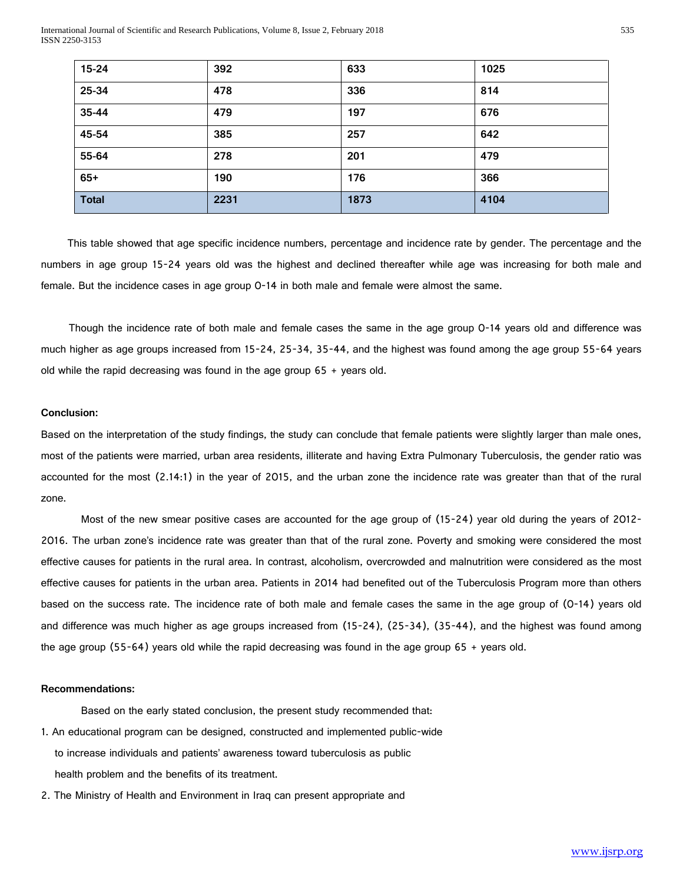International Journal of Scientific and Research Publications, Volume 8, Issue 2, February 2018 535 ISSN 2250-3153

| $15 - 24$    | 392  | 633  | 1025 |
|--------------|------|------|------|
| 25-34        | 478  | 336  | 814  |
| 35-44        | 479  | 197  | 676  |
| 45-54        | 385  | 257  | 642  |
| 55-64        | 278  | 201  | 479  |
| $65+$        | 190  | 176  | 366  |
| <b>Total</b> | 2231 | 1873 | 4104 |

This table showed that age specific incidence numbers, percentage and incidence rate by gender. The percentage and the numbers in age group 15-24 years old was the highest and declined thereafter while age was increasing for both male and female. But the incidence cases in age group 0-14 in both male and female were almost the same.

 Though the incidence rate of both male and female cases the same in the age group 0-14 years old and difference was much higher as age groups increased from 15-24, 25-34, 35-44, and the highest was found among the age group 55-64 years old while the rapid decreasing was found in the age group  $65 +$  years old.

# **Conclusion:**

Based on the interpretation of the study findings, the study can conclude that female patients were slightly larger than male ones, most of the patients were married, urban area residents, illiterate and having Extra Pulmonary Tuberculosis, the gender ratio was accounted for the most (2.14:1) in the year of 2015, and the urban zone the incidence rate was greater than that of the rural zone.

Most of the new smear positive cases are accounted for the age group of (15-24) year old during the years of 2012- 2016. The urban zone's incidence rate was greater than that of the rural zone. Poverty and smoking were considered the most effective causes for patients in the rural area. In contrast, alcoholism, overcrowded and malnutrition were considered as the most effective causes for patients in the urban area. Patients in 2014 had benefited out of the Tuberculosis Program more than others based on the success rate. The incidence rate of both male and female cases the same in the age group of (0-14) years old and difference was much higher as age groups increased from (15-24), (25-34), (35-44), and the highest was found among the age group (55-64) years old while the rapid decreasing was found in the age group 65 + years old.

#### **Recommendations:**

Based on the early stated conclusion, the present study recommended that:

- 1. An educational program can be designed, constructed and implemented public-wide to increase individuals and patients' awareness toward tuberculosis as public health problem and the benefits of its treatment.
- 2. The Ministry of Health and Environment in Iraq can present appropriate and